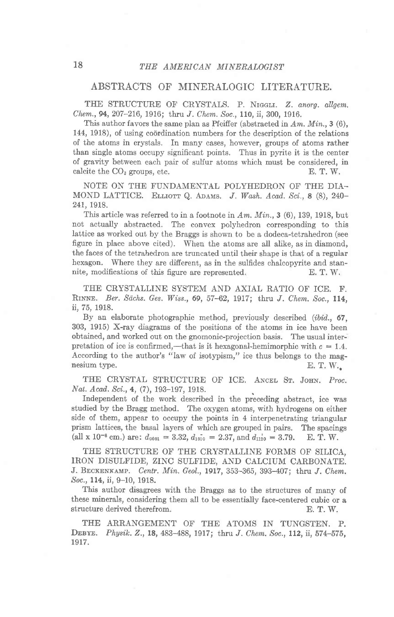## ABSTRACTS OF MINERALOGIC LITERATURE.

THE STRUCTURE OF CRYSTALS. P. NIGGLI. Z. anorg. allgem. Chem., 94, 207-216, 1916; thru J. Chem. Soc., 110, ii, 300, 1916.

This author favors the same plan as Pfeiffer (abstracted in  $Am.$   $Min.$ , 3 (6), 144, 1918), of using coordination numbers for the description of the relations of the atoms in crystals. In many cases, however, groups of atoms rather than single atoms occupy significant points. Thus in pyrite it is the center of gravity between each pair of sulfur atoms which must be considered, in calcite the  $CO<sub>3</sub>$  groups, etc.  $E. T. W.$ 

NOTE ON THE FUNDAMENTAL POLYHEDRON OF THE DIA-MOND LATTICE. ELLIOTT Q. ADAMS. J. Wash. Acad. Sci., 8 (8), 240-241, 1918.

This article was referred to in a footnote in  $Am.$   $Min.$ , 3 (6), 139, 1918, but not actually abstracted. The convex polyhedron corresponding to this lattice as worked out by the Braggs is shown to be a dodeca-tetrahedron (see figure in place above cited). When the atoms are all alike, as in diamond, the faces of the tetrahedron are truncated until their shape is that of a regular hexagon. Where they are different, as in the sulfides chalcopyrite and stannite, modifications of this figure are represented. E. T. W.

THE CRYSTALLINE SYSTEM AND AXIAL RATIO OF ICE. F. RINNE. Ber. Sächs. Ges. Wiss., 69, 57-62, 1917; thru J. Chem. Soc., 114. ii,75, 1918.

By an elaborate photographic method, previously described (ibid., 67, 303, 1915) X-ray diagrams of the positions of the atoms in ice have been obtained, and worked out on the gnomonic-projection basis. The usual interpretation of ice is confirmed,—that is it hexagonal-hemimorphic with  $c = 1.4$ . According to the author's "law of isotypism," ice thus belongs to the magnesium type.<br> $E. T. W.$ nesium type.

THE CRYSTAL STRUCTURE OF ICE. ANCEL ST. JOHN. Proc. Nat. Acad. Sci., 4, (7), 193-197, 1918.

Independent of the work described in the preceding abstract, ice was studied by the Bragg method. The oxygen atoms, with hydrogens on either side of them, appear to occupy the points in 4 interpenetrating triangular prism lattices, the basal layers of which are grouped in pairs. The spacings (all x 10<sup>-8</sup> cm.) are:  $d_{0001} = 3.32, d_{1010} = 2.37,$  and  $d_{1120} = 3.79$ . E. T. W.

THE STRUCTURE OF THE CRYSTALLINE FORMS OF SILICA, IRON DISULFIDE, ZINC SULFIDE, AND CALCIUM CARBONATE. J. BECKENKAMP. Centr. Min. Geol., 1917, 353-365, 393-407; thru J. Chem. Soc., ll4, ii, 9-10, 1918.

This author disagrees with the Braggs as to the structures of many of these minerals, considering them all to be essentially face-centered cubic or a structure derived therefrom. E. T. W.

THE ARRANGEMENT OF THE ATOMS IN TUNGSTEN. P. DEBYE. Physik. Z., 18, 483-488, 1917; thru J. Chem. Soc., 112, ii, 574-575, 1917.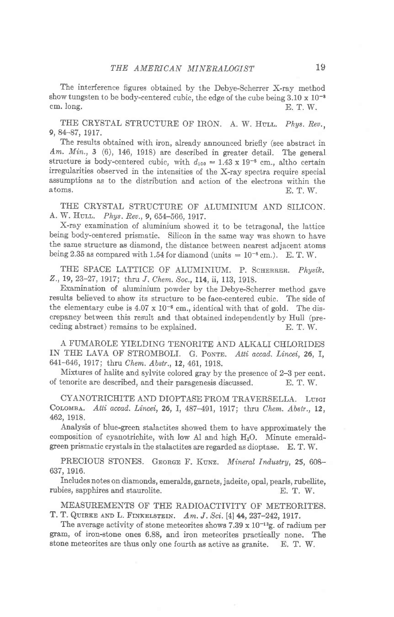The interference figures obtained by the Debye-Scherrer X-ray method show tungsten to be body-centered cubic, the edge of the cube being  $3.10 \times 10^{-8}$ <br>cm, long. cm. long,  $E. T. W.$ 

THE CRYSTAL STRUCTURE OF IRON. A. W. HULL. Phys. Rev., 9, 84-87, 1917.

The results obtained with iron, already announced briefly (see abstract in  $Am. Min., 3$  (6), 146, 1918) are described in greater detail. The general structure is body-centered cubic, with  $d_{100} = 1.43 \times 19^{-8}$  cm., altho certain irregularities observed in the intensities of the X-ray spectra require special assumptions as to the distribution and action of the electrons within the atoms.  $E T W$ atoms, E. T. W.

THE CRYSTAL STRUCTURE OF ALUMINIUM AND SILICON. A. W. HULL. Phys. Rev., 9, 654-566, 1917.

X-ray examination of aluminium showed it to be tetragonal, the lattice being body-centered prismatic. Silicon in the same way was shown to have the same structure as diamond, the distance between nearest adjacent atoms being 2.35 as compared with 1.54 for diamond (units  $= 10^{-8}$  cm.). E. T. W.

THE SPACE LATTICE OF ALUMINIUM. P. SCHERRER. Physik. 2., 19,23-27,1917; thru J, Chem. Soc., ll4, ii, 113, 1918.

Examination of aluminium powder by the Debye-Scherrer method gave results believed to show its structure to be face-centered cubic. The side of the elementary cube is  $4.07 \times 10^{-8}$  cm., identical with that of gold. The discrepancy between this result and that obtained independently by Hull (preceding abstract) remains to be explained. E. T. W.

A FUMAROLE YIELDING TENORITE AND ALKALI CHLORIDES IN THE LAVA OF STROMBOLI. G. PONTE. Atti accad. Lincei. 26, I. 641-646, 1917; thru Chem. Abstr., 12, 461, 1918.

Mixtures of halite and sylvite colored gray by the presence of 2-3 per cent. of tenorite are described, and their paragenesis discussed. E. T. W.

CYANOTRICHITE AND DIOPTASE FROM TRAVERSELLA. LuIGI COLOMBA. Atti accad. Lincei, 26, I, 487-491, 1917; thru Chem. Abstr., 12, 462,19t8,

Analysis of blue-green stalactites showed them to have approximately the composition of cyanotrichite, with low Al and high  $H_2O$ . Minute emeraldgreen prismatic crystals in the stalactites are regarded as dioptase.  $E. T. W.$ 

PRECIOUS STONES. GEORGE F. KUNZ. Mineral Industry, 25, 608-637, 1916.

Includes notes on diamonds, emeralds, garnets, jadeite, opal, pearls, rubellite, rubies, sapphires and staurolite. E. T. W.

MEASUREMENTS OF THE RADIOACTIVITY OF METEORITES. T. T. QUIRKE AND L. FINKELSTEIN. Am. J. Sci. [4] 44, 237-242, 1917.

The average activity of stone meteorites shows  $7.39 \times 10^{-13}$ g. of radium per gram, of iron-stone ones 6.88, and iron meteorites practically none. The stone meteorites are thus only one fourth as active as granite. E. T. W.